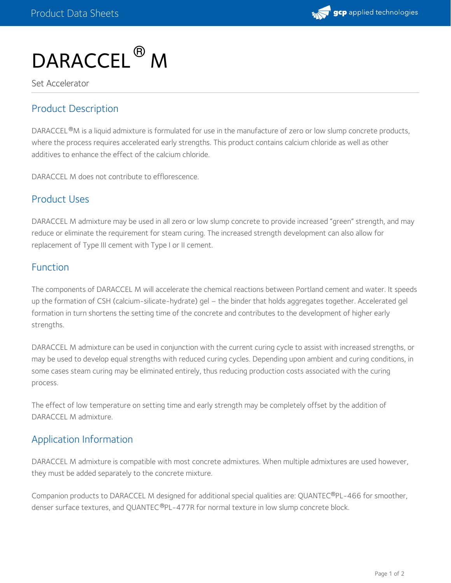

# DARACCEL<sup>®</sup> M

Set Accelerator

# Product Description

DARACCEL ®M is a liquid admixture is formulated for use in the manufacture of zero or low slump concrete products, where the process requires accelerated early strengths. This product contains calcium chloride as well as other additives to enhance the effect of the calcium chloride.

DARACCEL M does not contribute to efflorescence.

## Product Uses

DARACCEL M admixture may be used in all zero or low slump concrete to provide increased "green" strength, and may reduce or eliminate the requirement for steam curing. The increased strength development can also allow for replacement of Type III cement with Type I or II cement.

## Function

The components of DARACCEL M will accelerate the chemical reactions between Portland cement and water. It speeds up the formation of CSH (calcium-silicate-hydrate) gel – the binder that holds aggregates together. Accelerated gel formation in turn shortens the setting time of the concrete and contributes to the development of higher early strengths.

DARACCEL M admixture can be used in conjunction with the current curing cycle to assist with increased strengths, or may be used to develop equal strengths with reduced curing cycles. Depending upon ambient and curing conditions, in some cases steam curing may be eliminated entirely, thus reducing production costs associated with the curing process.

The effect of low temperature on setting time and early strength may be completely offset by the addition of DARACCEL M admixture.

## Application Information

DARACCEL M admixture is compatible with most concrete admixtures. When multiple admixtures are used however, they must be added separately to the concrete mixture.

Companion products to DARACCEL M designed for additional special qualities are: QUANTEC®PL-466 for smoother, denser surface textures, and QUANTEC®PL-477R for normal texture in low slump concrete block.